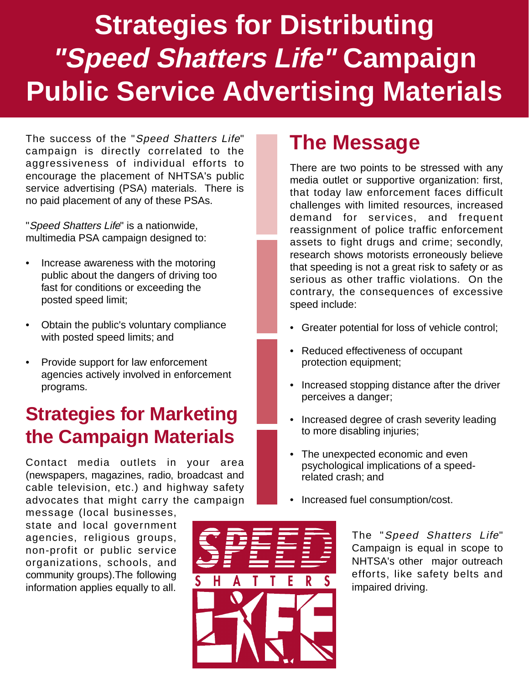# **Strategies for Distributing "Speed Shatters Life" Campaign Public Service Advertising Materials**

The success of the "Speed Shatters Life" campaign is directly correlated to the aggressiveness of individual efforts to encourage the placement of NHTSA's public service advertising (PSA) materials. There is no paid placement of any of these PSAs.

"Speed Shatters Life" is a nationwide, multimedia PSA campaign designed to:

- Increase awareness with the motoring public about the dangers of driving too fast for conditions or exceeding the posted speed limit;
- Obtain the public's voluntary compliance with posted speed limits; and
- Provide support for law enforcement agencies actively involved in enforcement programs.

#### **Strategies for Marketing the Campaign Materials**

Contact media outlets in your area (newspapers, magazines, radio, broadcast and cable television, etc.) and highway safety advocates that might carry the campaign

message (local businesses, state and local government agencies, religious groups, non-profit or public service organizations, schools, and community groups).The following information applies equally to all.

#### **The Message**

There are two points to be stressed with any media outlet or supportive organization: first, that today law enforcement faces difficult challenges with limited resources, increased demand for services, and frequent reassignment of police traffic enforcement assets to fight drugs and crime; secondly, research shows motorists erroneously believe that speeding is not a great risk to safety or as serious as other traffic violations. On the contrary, the consequences of excessive speed include:

- Greater potential for loss of vehicle control;
- Reduced effectiveness of occupant protection equipment;
- Increased stopping distance after the driver perceives a danger;
- Increased degree of crash severity leading to more disabling injuries;
- The unexpected economic and even psychological implications of a speedrelated crash; and
- Increased fuel consumption/cost.

The "Speed Shatters Life" Campaign is equal in scope to NHTSA's other major outreach efforts, like safety belts and impaired driving.